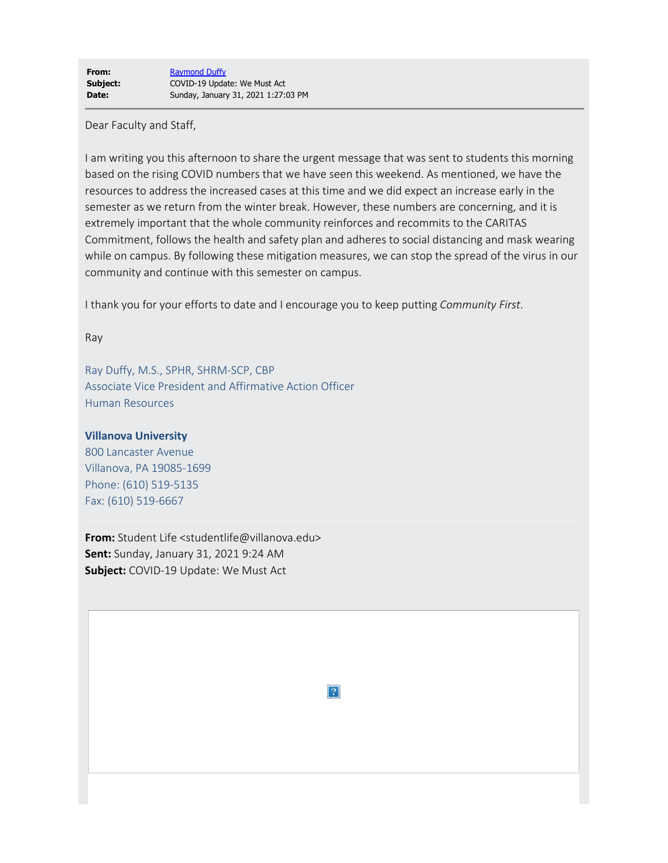Dear Faculty and Staff,

I am writing you this afternoon to share the urgent message that was sent to students this morning based on the rising COVID numbers that we have seen this weekend. As mentioned, we have the resources to address the increased cases at this time and we did expect an increase early in the semester as we return from the winter break. However, these numbers are concerning, and it is extremely important that the whole community reinforces and recommits to the CARITAS Commitment, follows the health and safety plan and adheres to social distancing and mask wearing while on campus. By following these mitigation measures, we can stop the spread of the virus in our community and continue with this semester on campus.

I thank you for your efforts to date and I encourage you to keep putting *Community First*.

Ray

Ray Duffy, M.S., SPHR, SHRM-SCP, CBP Associate Vice President and Affirmative Action Officer Human Resources

## **Villanova University**

800 Lancaster Avenue Villanova, PA 19085-1699 Phone: (610) 519-5135 Fax: (610) 519-6667

**From:** Student Life <studentlife@villanova.edu> **Sent:** Sunday, January 31, 2021 9:24 AM **Subject:** COVID-19 Update: We Must Act

 $|2|$